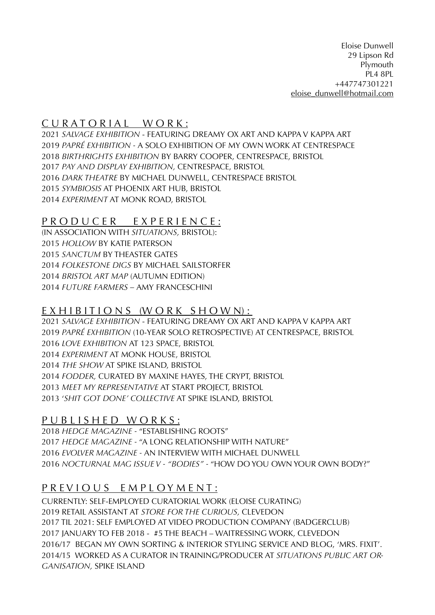Eloise Dunwell 29 Lipson Rd Plymouth PL4 8PL +447747301221 [eloise\\_dunwell@hotmail.com](mailto:eloise_dunwell@hotmail.com)

## CURATORIAL WORK:

*SALVAGE EXHIBITION* - FEATURING DREAMY OX ART AND KAPPA V KAPPA ART *PAPRÉ EXHIBITION -* A SOLO EXHIBITION OF MY OWN WORK AT CENTRESPACE *BIRTHRIGHTS EXHIBITION* BY BARRY COOPER, CENTRESPACE, BRISTOL *PAY AND DISPLAY EXHIBITION,* CENTRESPACE, BRISTOL *DARK THEATRE* BY MICHAEL DUNWELL, CENTRESPACE BRISTOL *SYMBIOSIS* AT PHOENIX ART HUB, BRISTOL *EXPERIMENT* AT MONK ROAD, BRISTOL

### P R O D U C E R E X P E R I E N C E :

(IN ASSOCIATION WITH *SITUATIONS,* BRISTOL): *HOLLOW* BY KATIE PATERSON *SANCTUM* BY THEASTER GATES *FOLKESTONE DIGS* BY MICHAEL SAILSTORFER *BRISTOL ART MAP* (AUTUMN EDITION) *FUTURE FARMERS –* AMY FRANCESCHINI

### $EX HIBITION S (W OR K SHOWN):$

*SALVAGE EXHIBITION* - FEATURING DREAMY OX ART AND KAPPA V KAPPA ART *PAPRÉ EXHIBITION* (10-YEAR SOLO RETROSPECTIVE) AT CENTRESPACE, BRISTOL *LOVE EXHIBITION* AT 123 SPACE, BRISTOL *EXPERIMENT* AT MONK HOUSE, BRISTOL *THE SHOW* AT SPIKE ISLAND, BRISTOL *FODDER,* CURATED BY MAXINE HAYES, THE CRYPT, BRISTOL *MEET MY REPRESENTATIVE* AT START PROJECT, BRISTOL 2013 '*SHIT GOT DONE' COLLECTIVE* AT SPIKE ISLAND, BRISTOL

### P U B L I S H E D W O R K S :

*HEDGE MAGAZINE -* "ESTABLISHING ROOTS" *HEDGE MAGAZINE -* "A LONG RELATIONSHIP WITH NATURE" *EVOLVER MAGAZINE -* AN INTERVIEW WITH MICHAEL DUNWELL *NOCTURNAL MAG ISSUE V - "BODIES" -* "HOW DO YOU OWN YOUR OWN BODY?"

# P R E V I O U S E M P L O Y M E N T :

CURRENTLY: SELF-EMPLOYED CURATORIAL WORK (ELOISE CURATING) 2019 RETAIL ASSISTANT AT *STORE FOR THE CURIOUS,* CLEVEDON 2017 TIL 2021: SELF EMPLOYED AT VIDEO PRODUCTION COMPANY (BADGERCLUB) 2017 JANUARY TO FEB 2018 - #5 THE BEACH – WAITRESSING WORK, CLEVEDON 2016/17 BEGAN MY OWN SORTING & INTERIOR STYLING SERVICE AND BLOG, 'MRS. FIXIT'. 2014/15 WORKED AS A CURATOR IN TRAINING/PRODUCER AT *SITUATIONS PUBLIC ART OR-GANISATION,* SPIKE ISLAND